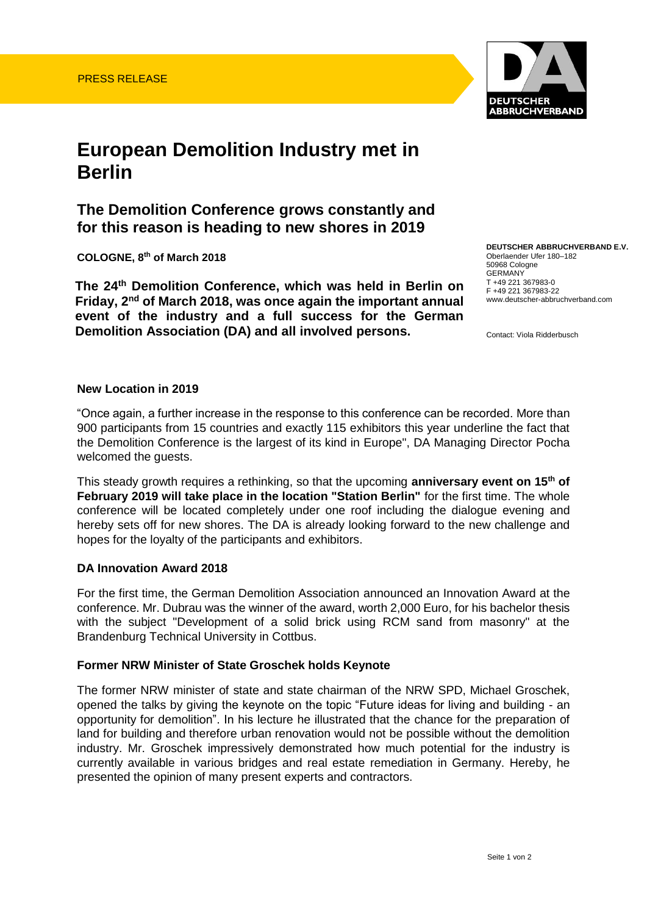

# **European Demolition Industry met in Berlin**

## **The Demolition Conference grows constantly and for this reason is heading to new shores in 2019**

**COLOGNE, 8 th of March 2018**

**The 24th Demolition Conference, which was held in Berlin on Friday, 2nd of March 2018, was once again the important annual event of the industry and a full success for the German Demolition Association (DA) and all involved persons.**

**DEUTSCHER ABBRUCHVERBAND E.V.**  Oberlaender Ufer 180–182 50968 Cologne GERMANY T +49 221 367983-0 F +49 221 367983-22 www.deutscher-abbruchverband.com

Contact: Viola Ridderbusch

#### **New Location in 2019**

"Once again, a further increase in the response to this conference can be recorded. More than 900 participants from 15 countries and exactly 115 exhibitors this year underline the fact that the Demolition Conference is the largest of its kind in Europe", DA Managing Director Pocha welcomed the guests.

This steady growth requires a rethinking, so that the upcoming **anniversary event on 15th of February 2019 will take place in the location "Station Berlin"** for the first time. The whole conference will be located completely under one roof including the dialogue evening and hereby sets off for new shores. The DA is already looking forward to the new challenge and hopes for the loyalty of the participants and exhibitors.

#### **DA Innovation Award 2018**

For the first time, the German Demolition Association announced an Innovation Award at the conference. Mr. Dubrau was the winner of the award, worth 2,000 Euro, for his bachelor thesis with the subject "Development of a solid brick using RCM sand from masonry" at the Brandenburg Technical University in Cottbus.

#### **Former NRW Minister of State Groschek holds Keynote**

The former NRW minister of state and state chairman of the NRW SPD, Michael Groschek, opened the talks by giving the keynote on the topic "Future ideas for living and building - an opportunity for demolition". In his lecture he illustrated that the chance for the preparation of land for building and therefore urban renovation would not be possible without the demolition industry. Mr. Groschek impressively demonstrated how much potential for the industry is currently available in various bridges and real estate remediation in Germany. Hereby, he presented the opinion of many present experts and contractors.